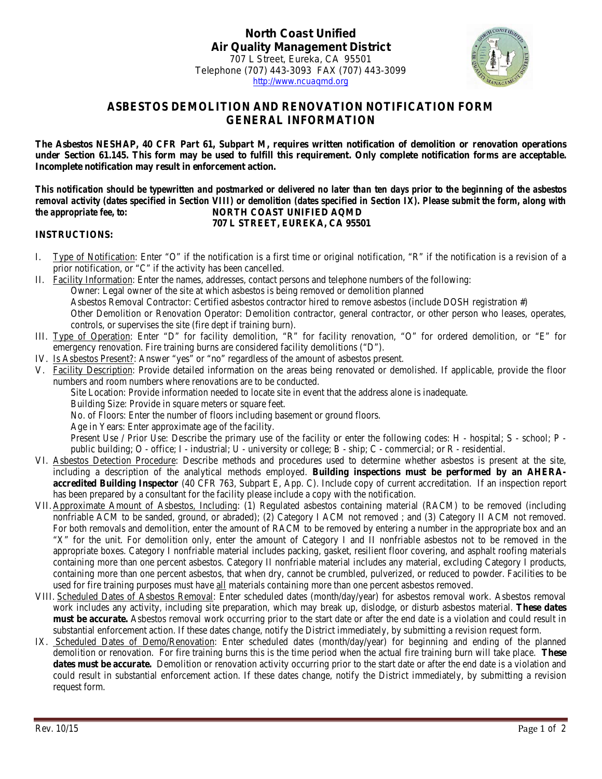

## **ASBESTOS DEMOLITION AND RENOVATION NOTIFICATION FORM GENERAL INFORMATION**

**The Asbestos NESHAP, 40 CFR Part 61, Subpart M, requires written notification of demolition or renovation operations under Section 61.145. This form may be used to fulfill this requirement. Only complete notification forms are acceptable. Incomplete notification may result in enforcement action.**

*This notification should be typewritten and postmarked or delivered no later than ten days prior to the beginning of the asbestos removal activity (dates specified in Section VIII) or demolition (dates specified in Section IX). Please submit the form, along with the appropriate fee, to:* **NORTH COAST UNIFIED AQMD 707 L STREET, EUREKA, CA 95501**

## **INSTRUCTIONS:**

- I. Type of Notification: Enter "O" if the notification is a first time or original notification, "R" if the notification is a revision of a prior notification, or "C" if the activity has been cancelled.
- II. Facility Information: Enter the names, addresses, contact persons and telephone numbers of the following: Owner: Legal owner of the site at which asbestos is being removed or demolition planned Asbestos Removal Contractor: Certified asbestos contractor hired to remove asbestos (include DOSH registration #) Other Demolition or Renovation Operator: Demolition contractor, general contractor, or other person who leases, operates, controls, or supervises the site (fire dept if training burn).
- III. Type of Operation: Enter "D" for facility demolition, "R" for facility renovation, "O" for ordered demolition, or "E" for emergency renovation. Fire training burns are considered facility demolitions ("D").
- IV. Is Asbestos Present?: Answer "yes" or "no" regardless of the amount of asbestos present.
- V. Facility Description: Provide detailed information on the areas being renovated or demolished. If applicable, provide the floor numbers and room numbers where renovations are to be conducted.
	- Site Location: Provide information needed to locate site in event that the address alone is inadequate.
	- Building Size: Provide in square meters or square feet.
	- No. of Floors: Enter the number of floors including basement or ground floors.
	- Age in Years: Enter approximate age of the facility.

Present Use / Prior Use: Describe the primary use of the facility or enter the following codes: H - hospital; S - school; P public building; O - office; I - industrial; U - university or college; B - ship; C - commercial; or R - residential.

- VI. Asbestos Detection Procedure: Describe methods and procedures used to determine whether asbestos is present at the site, including a description of the analytical methods employed. **Building inspections must be performed by an AHERAaccredited Building Inspector** (40 CFR 763, Subpart E, App. C). Include copy of current accreditation. If an inspection report has been prepared by a consultant for the facility please include a copy with the notification.
- VII. Approximate Amount of Asbestos, Including: (1) Regulated asbestos containing material (RACM) to be removed (including nonfriable ACM to be sanded, ground, or abraded); (2) Category I ACM not removed ; and (3) Category II ACM not removed. For both removals and demolition, enter the amount of RACM to be removed by entering a number in the appropriate box and an "X" for the unit. For demolition only, enter the amount of Category I and II nonfriable asbestos not to be removed in the appropriate boxes. Category I nonfriable material includes packing, gasket, resilient floor covering, and asphalt roofing materials containing more than one percent asbestos. Category II nonfriable material includes any material, excluding Category I products, containing more than one percent asbestos, that when dry, cannot be crumbled, pulverized, or reduced to powder. Facilities to be used for fire training purposes must have all materials containing more than one percent asbestos removed.
- VIII. Scheduled Dates of Asbestos Removal: Enter scheduled dates (month/day/year) for asbestos removal work. Asbestos removal work includes any activity, including site preparation, which may break up, dislodge, or disturb asbestos material. **These dates must be accurate.** Asbestos removal work occurring prior to the start date or after the end date is a violation and could result in substantial enforcement action. If these dates change, notify the District immediately, by submitting a revision request form.
- IX. Scheduled Dates of Demo/Renovation: Enter scheduled dates (month/day/year) for beginning and ending of the planned demolition or renovation. For fire training burns this is the time period when the actual fire training burn will take place. **These dates must be accurate.** Demolition or renovation activity occurring prior to the start date or after the end date is a violation and could result in substantial enforcement action. If these dates change, notify the District immediately, by submitting a revision request form.